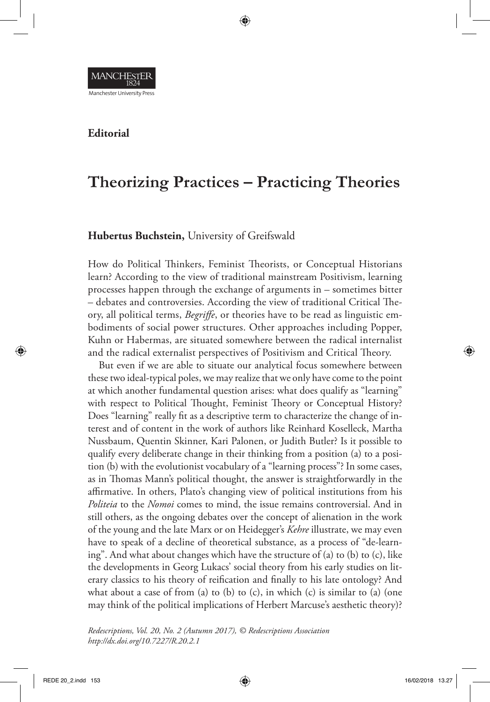

## **Editorial**

## **Theorizing Practices – Practicing Theories**

## **Hubertus Buchstein,** University of Greifswald

How do Political Thinkers, Feminist Theorists, or Conceptual Historians learn? According to the view of traditional mainstream Positivism, learning processes happen through the exchange of arguments in – sometimes bitter – debates and controversies. According the view of traditional Critical Theory, all political terms, *Begriffe*, or theories have to be read as linguistic embodiments of social power structures. Other approaches including Popper, Kuhn or Habermas, are situated somewhere between the radical internalist and the radical externalist perspectives of Positivism and Critical Theory.

But even if we are able to situate our analytical focus somewhere between these two ideal-typical poles, we may realize that we only have come to the point at which another fundamental question arises: what does qualify as "learning" with respect to Political Thought, Feminist Theory or Conceptual History? Does "learning" really fit as a descriptive term to characterize the change of interest and of content in the work of authors like Reinhard Koselleck, Martha Nussbaum, Quentin Skinner, Kari Palonen, or Judith Butler? Is it possible to qualify every deliberate change in their thinking from a position (a) to a position (b) with the evolutionist vocabulary of a "learning process"? In some cases, as in Thomas Mann's political thought, the answer is straightforwardly in the affirmative. In others, Plato's changing view of political institutions from his *Politeia* to the *Nomoi* comes to mind, the issue remains controversial. And in still others, as the ongoing debates over the concept of alienation in the work of the young and the late Marx or on Heidegger's *Kehre* illustrate, we may even have to speak of a decline of theoretical substance, as a process of "de-learning". And what about changes which have the structure of (a) to (b) to (c), like the developments in Georg Lukacs' social theory from his early studies on literary classics to his theory of reification and finally to his late ontology? And what about a case of from (a) to (b) to (c), in which (c) is similar to (a) (one may think of the political implications of Herbert Marcuse's aesthetic theory)?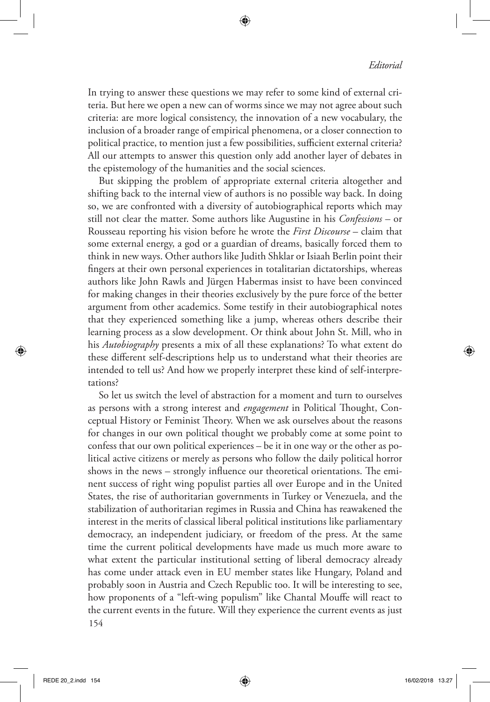In trying to answer these questions we may refer to some kind of external criteria. But here we open a new can of worms since we may not agree about such criteria: are more logical consistency, the innovation of a new vocabulary, the inclusion of a broader range of empirical phenomena, or a closer connection to political practice, to mention just a few possibilities, sufficient external criteria? All our attempts to answer this question only add another layer of debates in the epistemology of the humanities and the social sciences.

But skipping the problem of appropriate external criteria altogether and shifting back to the internal view of authors is no possible way back. In doing so, we are confronted with a diversity of autobiographical reports which may still not clear the matter. Some authors like Augustine in his *Confessions* – or Rousseau reporting his vision before he wrote the *First Discourse* – claim that some external energy, a god or a guardian of dreams, basically forced them to think in new ways. Other authors like Judith Shklar or Isiaah Berlin point their fingers at their own personal experiences in totalitarian dictatorships, whereas authors like John Rawls and Jürgen Habermas insist to have been convinced for making changes in their theories exclusively by the pure force of the better argument from other academics. Some testify in their autobiographical notes that they experienced something like a jump, whereas others describe their learning process as a slow development. Or think about John St. Mill, who in his *Autobiography* presents a mix of all these explanations? To what extent do these different self-descriptions help us to understand what their theories are intended to tell us? And how we properly interpret these kind of self-interpretations?

154 So let us switch the level of abstraction for a moment and turn to ourselves as persons with a strong interest and *engagement* in Political Thought, Conceptual History or Feminist Theory. When we ask ourselves about the reasons for changes in our own political thought we probably come at some point to confess that our own political experiences – be it in one way or the other as political active citizens or merely as persons who follow the daily political horror shows in the news – strongly influence our theoretical orientations. The eminent success of right wing populist parties all over Europe and in the United States, the rise of authoritarian governments in Turkey or Venezuela, and the stabilization of authoritarian regimes in Russia and China has reawakened the interest in the merits of classical liberal political institutions like parliamentary democracy, an independent judiciary, or freedom of the press. At the same time the current political developments have made us much more aware to what extent the particular institutional setting of liberal democracy already has come under attack even in EU member states like Hungary, Poland and probably soon in Austria and Czech Republic too. It will be interesting to see, how proponents of a "left-wing populism" like Chantal Mouffe will react to the current events in the future. Will they experience the current events as just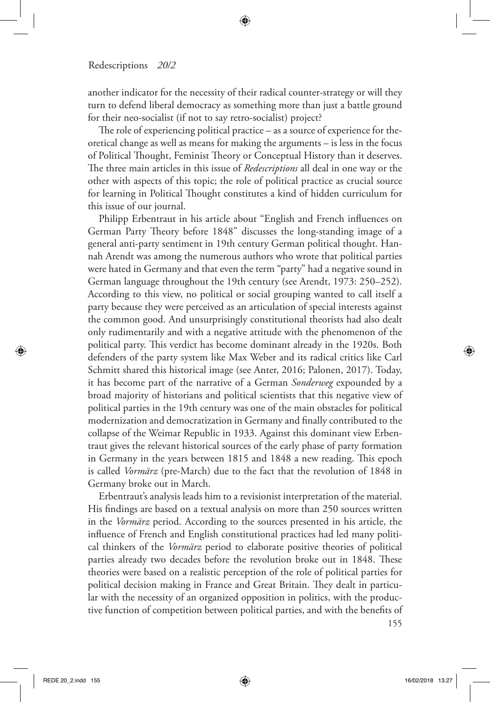another indicator for the necessity of their radical counter-strategy or will they turn to defend liberal democracy as something more than just a battle ground for their neo-socialist (if not to say retro-socialist) project?

The role of experiencing political practice – as a source of experience for theoretical change as well as means for making the arguments – is less in the focus of Political Thought, Feminist Theory or Conceptual History than it deserves. The three main articles in this issue of *Redescriptions* all deal in one way or the other with aspects of this topic; the role of political practice as crucial source for learning in Political Thought constitutes a kind of hidden curriculum for this issue of our journal.

Philipp Erbentraut in his article about "English and French influences on German Party Theory before 1848" discusses the long-standing image of a general anti-party sentiment in 19th century German political thought. Hannah Arendt was among the numerous authors who wrote that political parties were hated in Germany and that even the term "party" had a negative sound in German language throughout the 19th century (see Arendt, 1973: 250–252). According to this view, no political or social grouping wanted to call itself a party because they were perceived as an articulation of special interests against the common good. And unsurprisingly constitutional theorists had also dealt only rudimentarily and with a negative attitude with the phenomenon of the political party. This verdict has become dominant already in the 1920s. Both defenders of the party system like Max Weber and its radical critics like Carl Schmitt shared this historical image (see Anter, 2016; Palonen, 2017). Today, it has become part of the narrative of a German *Sonderweg* expounded by a broad majority of historians and political scientists that this negative view of political parties in the 19th century was one of the main obstacles for political modernization and democratization in Germany and finally contributed to the collapse of the Weimar Republic in 1933. Against this dominant view Erbentraut gives the relevant historical sources of the early phase of party formation in Germany in the years between 1815 and 1848 a new reading. This epoch is called *Vormärz* (pre-March) due to the fact that the revolution of 1848 in Germany broke out in March.

Erbentraut's analysis leads him to a revisionist interpretation of the material. His findings are based on a textual analysis on more than 250 sources written in the *Vormärz* period. According to the sources presented in his article, the influence of French and English constitutional practices had led many political thinkers of the *Vormärz* period to elaborate positive theories of political parties already two decades before the revolution broke out in 1848. These theories were based on a realistic perception of the role of political parties for political decision making in France and Great Britain. They dealt in particular with the necessity of an organized opposition in politics, with the productive function of competition between political parties, and with the benefits of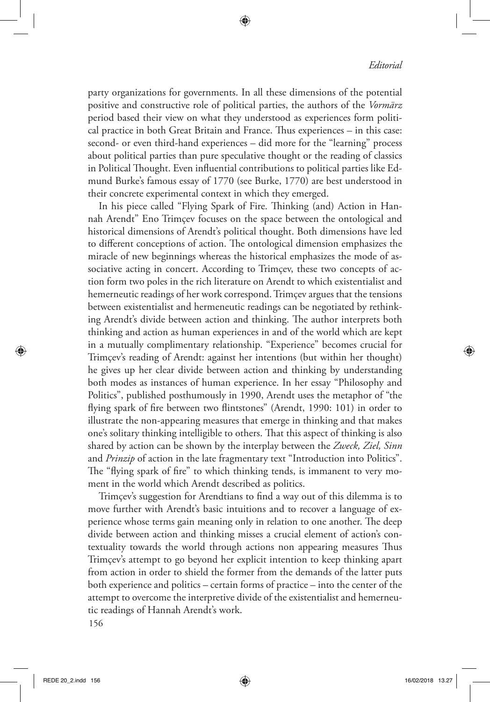party organizations for governments. In all these dimensions of the potential positive and constructive role of political parties, the authors of the *Vormärz*  period based their view on what they understood as experiences form political practice in both Great Britain and France. Thus experiences – in this case: second- or even third-hand experiences – did more for the "learning" process about political parties than pure speculative thought or the reading of classics in Political Thought. Even influential contributions to political parties like Edmund Burke's famous essay of 1770 (see Burke, 1770) are best understood in their concrete experimental context in which they emerged.

In his piece called "Flying Spark of Fire. Thinking (and) Action in Hannah Arendt" Eno Trimçev focuses on the space between the ontological and historical dimensions of Arendt's political thought. Both dimensions have led to different conceptions of action. The ontological dimension emphasizes the miracle of new beginnings whereas the historical emphasizes the mode of associative acting in concert. According to Trimçev, these two concepts of action form two poles in the rich literature on Arendt to which existentialist and hemerneutic readings of her work correspond. Trimçev argues that the tensions between existentialist and hermeneutic readings can be negotiated by rethinking Arendt's divide between action and thinking. The author interprets both thinking and action as human experiences in and of the world which are kept in a mutually complimentary relationship. "Experience" becomes crucial for Trimçev's reading of Arendt: against her intentions (but within her thought) he gives up her clear divide between action and thinking by understanding both modes as instances of human experience. In her essay "Philosophy and Politics", published posthumously in 1990, Arendt uses the metaphor of "the flying spark of fire between two flintstones" (Arendt, 1990: 101) in order to illustrate the non-appearing measures that emerge in thinking and that makes one's solitary thinking intelligible to others. That this aspect of thinking is also shared by action can be shown by the interplay between the *Zweck, Ziel, Sinn*  and *Prinzip* of action in the late fragmentary text "Introduction into Politics". The "flying spark of fire" to which thinking tends, is immanent to very moment in the world which Arendt described as politics.

Trimçev's suggestion for Arendtians to find a way out of this dilemma is to move further with Arendt's basic intuitions and to recover a language of experience whose terms gain meaning only in relation to one another. The deep divide between action and thinking misses a crucial element of action's contextuality towards the world through actions non appearing measures Thus Trimçev's attempt to go beyond her explicit intention to keep thinking apart from action in order to shield the former from the demands of the latter puts both experience and politics – certain forms of practice – into the center of the attempt to overcome the interpretive divide of the existentialist and hemerneutic readings of Hannah Arendt's work.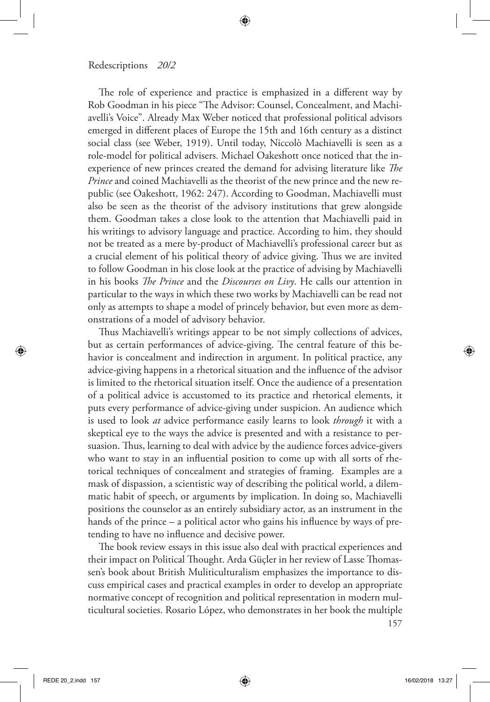The role of experience and practice is emphasized in a different way by Rob Goodman in his piece "The Advisor: Counsel, Concealment, and Machiavelli's Voice". Already Max Weber noticed that professional political advisors emerged in different places of Europe the 15th and 16th century as a distinct social class (see Weber, 1919). Until today, Niccolò Machiavelli is seen as a role-model for political advisers. Michael Oakeshott once noticed that the inexperience of new princes created the demand for advising literature like *The Prince* and coined Machiavelli as the theorist of the new prince and the new republic (see Oakeshott, 1962: 247). According to Goodman, Machiavelli must also be seen as the theorist of the advisory institutions that grew alongside them. Goodman takes a close look to the attention that Machiavelli paid in his writings to advisory language and practice. According to him, they should not be treated as a mere by-product of Machiavelli's professional career but as a crucial element of his political theory of advice giving. Thus we are invited to follow Goodman in his close look at the practice of advising by Machiavelli in his books *The Prince* and the *Discourses on Livy*. He calls our attention in particular to the ways in which these two works by Machiavelli can be read not only as attempts to shape a model of princely behavior, but even more as demonstrations of a model of advisory behavior.

Thus Machiavelli's writings appear to be not simply collections of advices, but as certain performances of advice-giving. The central feature of this behavior is concealment and indirection in argument. In political practice, any advice-giving happens in a rhetorical situation and the influence of the advisor is limited to the rhetorical situation itself. Once the audience of a presentation of a political advice is accustomed to its practice and rhetorical elements, it puts every performance of advice-giving under suspicion. An audience which is used to look *at* advice performance easily learns to look *through* it with a skeptical eye to the ways the advice is presented and with a resistance to persuasion. Thus, learning to deal with advice by the audience forces advice-givers who want to stay in an influential position to come up with all sorts of rhetorical techniques of concealment and strategies of framing. Examples are a mask of dispassion, a scientistic way of describing the political world, a dilemmatic habit of speech, or arguments by implication. In doing so, Machiavelli positions the counselor as an entirely subsidiary actor, as an instrument in the hands of the prince – a political actor who gains his influence by ways of pretending to have no influence and decisive power.

The book review essays in this issue also deal with practical experiences and their impact on Political Thought. Arda Güçler in her review of Lasse Thomassen's book about British Muliticulturalism emphasizes the importance to discuss empirical cases and practical examples in order to develop an appropriate normative concept of recognition and political representation in modern multicultural societies. Rosario López, who demonstrates in her book the multiple